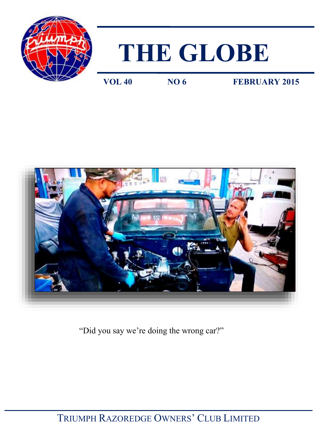

# **THE GLOBE**

**VOL 40 NO 6 FEBRUARY 2015** 



"Did you say we're doing the wrong car?"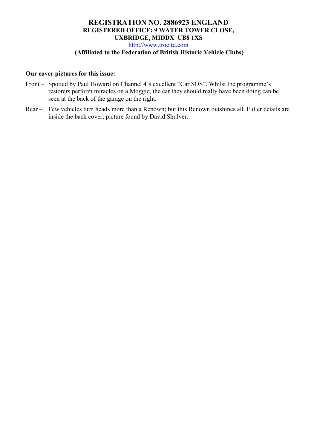### **REGISTRATION NO. 2886923 ENGLAND REGISTERED OFFICE: 9 WATER TOWER CLOSE, UXBRIDGE, MIDDX UB8 1XS**  [http://www.trocltd.com](http://www.trocltd.com/) **(Affiliated to the Federation of British Historic Vehicle Clubs)**

### **Our cover pictures for this issue:**

- Front Spotted by Paul Howard on Channel 4's excellent "Car SOS". Whilst the programme's restorers perform miracles on a Moggie, the car they should really have been doing can be seen at the back of the garage on the right.
- Rear Few vehicles turn heads more than a Renown; but this Renown outshines all. Fuller details are inside the back cover; picture found by David Shulver.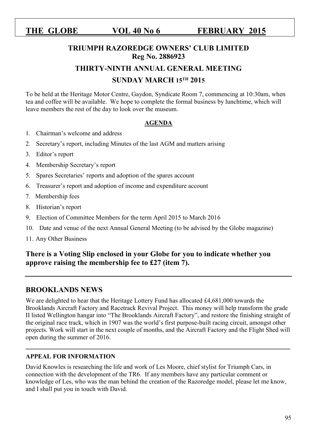# **TRIUMPH RAZOREDGE OWNERS' CLUB LIMITED Reg No. 2886923**

### **THIRTY-NINTH ANNUAL GENERAL MEETING**

# **SUNDAY MARCH 15TH 2015**

To be held at the Heritage Motor Centre, Gaydon, Syndicate Room 7, commencing at 10:30am, when tea and coffee will be available. We hope to complete the formal business by lunchtime, which will leave members the rest of the day to look over the museum.

### **AGENDA**

- 1. Chairman's welcome and address
- 2. Secretary's report, including Minutes of the last AGM and matters arising
- 3. Editor's report
- 4. Membership Secretary's report
- 5. Spares Secretaries' reports and adoption of the spares account
- 6. Treasurer's report and adoption of income and expenditure account
- 7. Membership fees
- 8. Historian's report
- 9. Election of Committee Members for the term April 2015 to March 2016
- 10. Date and venue of the next Annual General Meeting (to be advised by the Globe magazine)
- 11. Any Other Business

# **There is a Voting Slip enclosed in your Globe for you to indicate whether you approve raising the membership fee to £27 (item 7).**

# **BROOKLANDS NEWS**

We are delighted to hear that the Heritage Lottery Fund has allocated £4,681,000 towards the Brooklands Aircraft Factory and Racetrack Revival Project. This money will help transform the grade II listed Wellington hangar into "The Brooklands Aircraft Factory", and restore the finishing straight of the original race track, which in 1907 was the world's first purpose-built racing circuit, amongst other projects. Work will start in the next couple of months, and the Aircraft Factory and the Flight Shed will open during the summer of 2016.

**\_\_\_\_\_\_\_\_\_\_\_\_\_\_\_\_\_\_\_\_\_\_\_\_\_\_\_\_\_\_\_\_\_\_\_\_\_\_\_\_\_\_\_\_\_\_\_\_\_\_\_\_\_\_\_\_\_\_\_\_\_\_\_\_\_\_\_\_\_\_\_** 

### **APPEAL FOR INFORMATION**

David Knowles is researching the life and work of Les Moore, chief stylist for Triumph Cars, in connection with the development of the TR6. If any members have any particular comment or knowledge of Les, who was the man behind the creation of the Razoredge model, please let me know, and I shall put you in touch with David.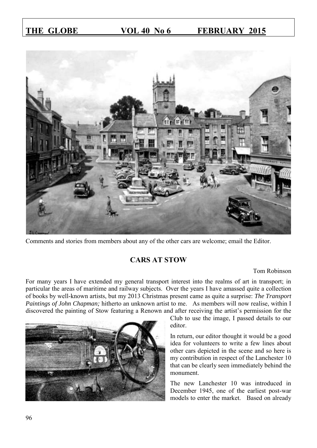

Comments and stories from members about any of the other cars are welcome; email the Editor.

# **CARS AT STOW**

### Tom Robinson

For many years I have extended my general transport interest into the realms of art in transport; in particular the areas of maritime and railway subjects. Over the years I have amassed quite a collection of books by well-known artists, but my 2013 Christmas present came as quite a surprise: *The Transport Paintings of John Chapman;* hitherto an unknown artist to me. As members will now realise, within I discovered the painting of Stow featuring a Renown and after receiving the artist's permission for the

> Club to use the image, I passed details to our editor.

In return, our editor thought it would be a good idea for volunteers to write a few lines about other cars depicted in the scene and so here is my contribution in respect of the Lanchester 10 that can be clearly seen immediately behind the monument.

The new Lanchester 10 was introduced in December 1945, one of the earliest post-war models to enter the market. Based on already

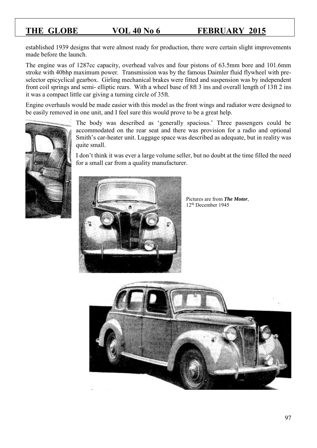established 1939 designs that were almost ready for production, there were certain slight improvements made before the launch.

The engine was of 1287cc capacity, overhead valves and four pistons of 63.5mm bore and 101.6mm stroke with 40bhp maximum power. Transmission was by the famous Daimler fluid flywheel with preselector epicyclical gearbox. Girling mechanical brakes were fitted and suspension was by independent front coil springs and semi- elliptic rears. With a wheel base of 8ft 3 ins and overall length of 13ft 2 ins it was a compact little car giving a turning circle of 35ft.

Engine overhauls would be made easier with this model as the front wings and radiator were designed to be easily removed in one unit, and I feel sure this would prove to be a great help.

> The body was described as 'generally spacious.' Three passengers could be accommodated on the rear seat and there was provision for a radio and optional Smith's car-heater unit. Luggage space was described as adequate, but in reality was quite small.

> I don't think it was ever a large volume seller, but no doubt at the time filled the need for a small car from a quality manufacturer.



Pictures are from *The Motor*, 12th December 1945



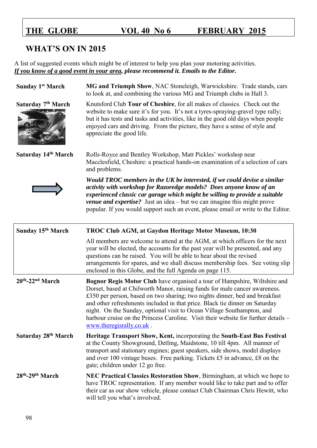# **WHAT'S ON IN 2015**

A list of suggested events which might be of interest to help you plan your motoring activities. *If you know of a good event in your area, please recommend it. Emails to the Editor.* 

| Sunday 1 <sup>st</sup> March             | MG and Triumph Show, NAC Stoneleigh, Warwickshire. Trade stands, cars<br>to look at, and combining the various MG and Triumph clubs in Hall 3.                                                                                                                                                                                                                                                                                                                                                                           |
|------------------------------------------|--------------------------------------------------------------------------------------------------------------------------------------------------------------------------------------------------------------------------------------------------------------------------------------------------------------------------------------------------------------------------------------------------------------------------------------------------------------------------------------------------------------------------|
| Saturday 7 <sup>th</sup> March           | Knutsford Club Tour of Cheshire, for all makes of classics. Check out the<br>website to make sure it's for you. It's not a tyres-spraying-gravel type rally;<br>but it has tests and tasks and activities, like in the good old days when people<br>enjoyed cars and driving. From the picture, they have a sense of style and<br>appreciate the good life.                                                                                                                                                              |
| Saturday 14th March                      | Rolls-Royce and Bentley Workshop, Matt Pickles' workshop near<br>Macclesfield, Cheshire: a practical hands-on examination of a selection of cars<br>and problems.                                                                                                                                                                                                                                                                                                                                                        |
|                                          | Would TROC members in the UK be interested, if we could devise a similar<br>activity with workshop for Razoredge models? Does anyone know of an<br>experienced classic car garage which might be willing to provide a suitable<br><b><i>venue and expertise?</i></b> Just an idea – but we can imagine this might prove<br>popular. If you would support such an event, please email or write to the Editor.                                                                                                             |
| Sunday 15 <sup>th</sup> March            | TROC Club AGM, at Gaydon Heritage Motor Museum, 10:30                                                                                                                                                                                                                                                                                                                                                                                                                                                                    |
|                                          | All members are welcome to attend at the AGM, at which officers for the next<br>year will be elected, the accounts for the past year will be presented, and any<br>questions can be raised. You will be able to hear about the revised<br>arrangements for spares, and we shall discuss membership fees. See voting slip<br>enclosed in this Globe, and the full Agenda on page 115.                                                                                                                                     |
| 20th-22nd March                          | <b>Bognor Regis Motor Club</b> have organised a tour of Hampshire, Wiltshire and<br>Dorset, based at Chilworth Manor, raising funds for male cancer awareness.<br>£350 per person, based on two sharing; two nights dinner, bed and breakfast<br>and other refreshments included in that price. Black tie dinner on Saturday<br>night. On the Sunday, optional visit to Ocean Village Southampton, and<br>harbour cruise on the Princess Caroline. Visit their website for further details -<br>www.theregisrally.co.uk. |
| Saturday 28 <sup>th</sup> March          | Heritage Transport Show, Kent, incorporating the South-East Bus Festival<br>at the County Showground, Detling, Maidstone, 10 till 4pm. All manner of<br>transport and stationary engines; guest speakers, side shows, model displays<br>and over 100 vintage buses. Free parking. Tickets £5 in advance, £8 on the<br>gate; children under 12 go free.                                                                                                                                                                   |
| 28 <sup>th</sup> -29 <sup>th</sup> March | NEC Practical Classics Restoration Show, Birmingham, at which we hope to<br>have TROC representation. If any member would like to take part and to offer<br>their car as our show vehicle, please contact Club Chairman Chris Hewitt, who<br>will tell you what's involved.                                                                                                                                                                                                                                              |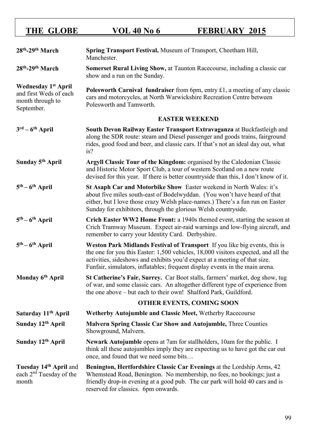| 28th-29th March                                                                        | Spring Transport Festival, Museum of Transport, Cheetham Hill,<br>Manchester.                                                                                                                                                                                                                                                  |
|----------------------------------------------------------------------------------------|--------------------------------------------------------------------------------------------------------------------------------------------------------------------------------------------------------------------------------------------------------------------------------------------------------------------------------|
| 28 <sup>th</sup> -29 <sup>th</sup> March                                               | Somerset Rural Living Show, at Taunton Racecourse, including a classic car<br>show and a run on the Sunday.                                                                                                                                                                                                                    |
| <b>Wednesday 1st April</b><br>and first Weds of each<br>month through to<br>September. | <b>Polesworth Carnival fundraiser</b> from 6pm, entry $£1$ , a meeting of any classic<br>cars and motorcycles, at North Warwickshire Recreation Centre between<br>Polesworth and Tamworth.                                                                                                                                     |
|                                                                                        | <b>EASTER WEEKEND</b>                                                                                                                                                                                                                                                                                                          |
| $3^{\text{rd}} - 6^{\text{th}}$ April                                                  | South Devon Railway Easter Transport Extravaganza at Buckfastleigh and<br>along the SDR route: steam and Diesel passenger and goods trains, fairground<br>rides, good food and beer, and classic cars. If that's not an ideal day out, what<br>is?                                                                             |
| Sunday 5 <sup>th</sup> April                                                           | Argyll Classic Tour of the Kingdom: organised by the Caledonian Classic<br>and Historic Motor Sport Club, a tour of western Scotland on a new route<br>devised for this year. If there is better countryside than this, I don't know of it.                                                                                    |
| $5th - 6th$ April                                                                      | St Asaph Car and Motorbike Show Easter weekend in North Wales: it's<br>about five miles south-east of Bodelwyddan. (You won't have heard of that<br>either, but I love those crazy Welsh place-names.) There's a fun run on Easter<br>Sunday for exhibitors, through the glorious Welsh countryside.                           |
| $5th - 6th$ April                                                                      | Crich Easter WW2 Home Front: a 1940s themed event, starting the season at<br>Crich Tramway Museum. Expect air-raid warnings and low-flying aircraft, and<br>remember to carry your Identity Card. Derbyshire.                                                                                                                  |
| $5th - 6th$ April                                                                      | Weston Park Midlands Festival of Transport If you like big events, this is<br>the one for you this Easter: 1,500 vehicles, 18,000 visitors expected, and all the<br>activities, sideshows and exhibits you'd expect at a meeting of that size.<br>Funfair, simulators, inflatables; frequent display events in the main arena. |
| Monday 6 <sup>th</sup> April                                                           | St Catherine's Fair, Surrey. Car Boot stalls, farmers' market, dog show, tug<br>of war, and some classic cars. An altogether different type of experience from<br>the one above – but each to their own! Shalford Park, Guildford.                                                                                             |
|                                                                                        | <b>OTHER EVENTS, COMING SOON</b>                                                                                                                                                                                                                                                                                               |
| Saturday 11 <sup>th</sup> April                                                        | Wetherby Autojumble and Classic Meet, Wetherby Racecourse                                                                                                                                                                                                                                                                      |
| Sunday 12th April                                                                      | <b>Malvern Spring Classic Car Show and Autojumble, Three Counties</b><br>Showground, Malvern.                                                                                                                                                                                                                                  |
| Sunday 12th April                                                                      | <b>Newark Autojumble</b> opens at 7am for stallholders, 10am for the public. I<br>think all these autojumbles imply they are expecting us to have got the car out<br>once, and found that we need some bits                                                                                                                    |
| Tuesday 14th April and<br>each 2 <sup>nd</sup> Tuesday of the<br>month                 | Benington, Hertfordshire Classic Car Evenings at the Lordship Arms, 42<br>Whemstead Road, Benington. No membership, no fees, no bookings; just a<br>friendly drop-in evening at a good pub. The car park will hold 40 cars and is<br>reserved for classics. 6pm onwards.                                                       |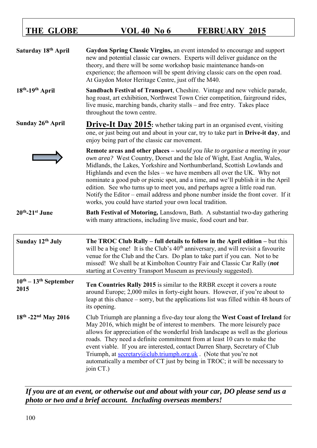| Saturday 18th April             | Gaydon Spring Classic Virgins, an event intended to encourage and support<br>new and potential classic car owners. Experts will deliver guidance on the<br>theory, and there will be some workshop basic maintenance hands-on<br>experience; the afternoon will be spent driving classic cars on the open road.<br>At Gaydon Motor Heritage Centre, just off the M40.                                                                                                                                                                                                                                                                               |
|---------------------------------|-----------------------------------------------------------------------------------------------------------------------------------------------------------------------------------------------------------------------------------------------------------------------------------------------------------------------------------------------------------------------------------------------------------------------------------------------------------------------------------------------------------------------------------------------------------------------------------------------------------------------------------------------------|
| 18th-19th April                 | Sandbach Festival of Transport, Cheshire. Vintage and new vehicle parade,<br>hog roast, art exhibition, Northwest Town Crier competition, fairground rides,<br>live music, marching bands, charity stalls – and free entry. Takes place<br>throughout the town centre.                                                                                                                                                                                                                                                                                                                                                                              |
| Sunday 26th April               | <b>Drive-It Day 2015:</b> whether taking part in an organised event, visiting<br>one, or just being out and about in your car, try to take part in Drive-it day, and<br>enjoy being part of the classic car movement.                                                                                                                                                                                                                                                                                                                                                                                                                               |
|                                 | <b>Remote areas and other places</b> $-$ <i>would you like to organise a meeting in your</i><br>own area? West Country, Dorset and the Isle of Wight, East Anglia, Wales,<br>Midlands, the Lakes, Yorkshire and Northumberland, Scottish Lowlands and<br>Highlands and even the Isles – we have members all over the UK. Why not<br>nominate a good pub or picnic spot, and a time, and we'll publish it in the April<br>edition. See who turns up to meet you, and perhaps agree a little road run.<br>Notify the Editor – email address and phone number inside the front cover. If it<br>works, you could have started your own local tradition. |
| $20th - 21st$ June              | Bath Festival of Motoring, Lansdown, Bath. A substantial two-day gathering<br>with many attractions, including live music, food court and bar.                                                                                                                                                                                                                                                                                                                                                                                                                                                                                                      |
| Sunday 12th July                | The TROC Club Rally $-$ full details to follow in the April edition $-$ but this<br>will be a big one! It is the Club's 40 <sup>th</sup> anniversary, and will revisit a favourite<br>venue for the Club and the Cars. Do plan to take part if you can. Not to be<br>missed! We shall be at Kimbolton Country Fair and Classic Car Rally (not<br>starting at Coventry Transport Museum as previously suggested).                                                                                                                                                                                                                                    |
| $10th - 13th$ September<br>2015 | Ten Countries Rally 2015 is similar to the RRBR except it covers a route                                                                                                                                                                                                                                                                                                                                                                                                                                                                                                                                                                            |
|                                 | around Europe; 2,000 miles in forty-eight hours. However, if you're about to<br>leap at this chance – sorry, but the applications list was filled within 48 hours of<br>its opening.                                                                                                                                                                                                                                                                                                                                                                                                                                                                |

*If you are at an event, or otherwise out and about with your car, DO please send us a photo or two and a brief account. Including overseas members!*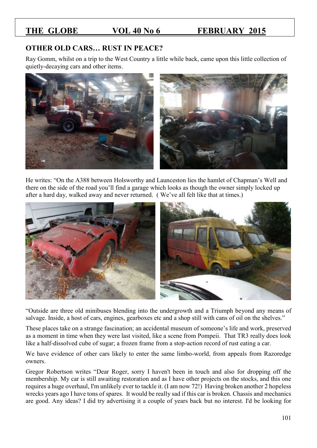# **OTHER OLD CARS… RUST IN PEACE?**

Ray Gomm, whilst on a trip to the West Country a little while back, came upon this little collection of quietly-decaying cars and other items.



He writes: "On the A388 between Holsworthy and Launceston lies the hamlet of Chapman's Well and there on the side of the road you'll find a garage which looks as though the owner simply locked up after a hard day, walked away and never returned. ( We've all felt like that at times.)



"Outside are three old minibuses blending into the undergrowth and a Triumph beyond any means of salvage. Inside, a host of cars, engines, gearboxes etc and a shop still with cans of oil on the shelves."

These places take on a strange fascination; an accidental museum of someone's life and work, preserved as a moment in time when they were last visited, like a scene from Pompeii. That TR3 really does look like a half-dissolved cube of sugar; a frozen frame from a stop-action record of rust eating a car.

We have evidence of other cars likely to enter the same limbo-world, from appeals from Razoredge owners.

Gregor Robertson writes "Dear Roger, sorry I haven't been in touch and also for dropping off the membership. My car is still awaiting restoration and as I have other projects on the stocks, and this one requires a huge overhaul, I'm unlikely ever to tackle it. (I am now 72!) Having broken another 2 hopeless wrecks years ago I have tons of spares. It would be really sad if this car is broken. Chassis and mechanics are good. Any ideas? I did try advertising it a couple of years back but no interest. I'd be looking for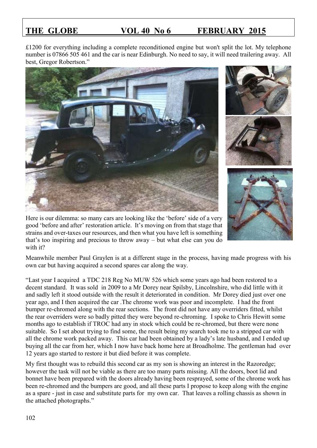£1200 for everything including a complete reconditioned engine but won't split the lot. My telephone number is 07866 505 461 and the car is near Edinburgh. No need to say, it will need trailering away. All best, Gregor Robertson."





Here is our dilemma: so many cars are looking like the 'before' side of a very good 'before and after' restoration article. It's moving on from that stage that strains and over-taxes our resources, and then what you have left is something that's too inspiring and precious to throw away – but what else can you do with it?

Meanwhile member Paul Graylen is at a different stage in the process, having made progress with his own car but having acquired a second spares car along the way.

"Last year I acquired a TDC 218 Reg No MUW 526 which some years ago had been restored to a decent standard. It was sold in 2009 to a Mr Dorey near Spilsby, Lincolnshire, who did little with it and sadly left it stood outside with the result it deteriorated in condition. Mr Dorey died just over one year ago, and I then acquired the car .The chrome work was poor and incomplete. I had the front bumper re-chromed along with the rear sections. The front did not have any overriders fitted, whilst the rear overriders were so badly pitted they were beyond re-chroming. I spoke to Chris Hewitt some months ago to establish if TROC had any in stock which could be re-chromed, but there were none suitable. So I set about trying to find some, the result being my search took me to a stripped car with all the chrome work packed away. This car had been obtained by a lady's late husband, and I ended up buying all the car from her, which I now have back home here at Broadholme. The gentleman had over 12 years ago started to restore it but died before it was complete.

My first thought was to rebuild this second car as my son is showing an interest in the Razoredge; however the task will not be viable as there are too many parts missing. All the doors, boot lid and bonnet have been prepared with the doors already having been resprayed, some of the chrome work has been re-chromed and the bumpers are good, and all these parts I propose to keep along with the engine as a spare - just in case and substitute parts for my own car. That leaves a rolling chassis as shown in the attached photographs."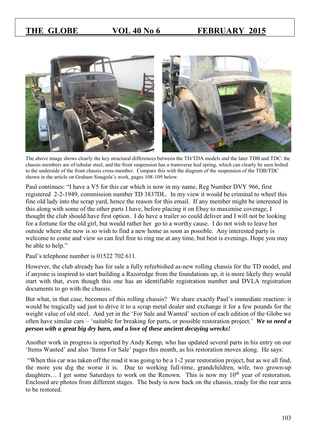

The above image shows clearly the key structural differences between the TD/TDA models and the later TDB and TDC: the chassis members are of tubular steel, and the front suspension has a transverse leaf spring, which can clearly be seen bolted to the underside of the front chassis cross-member. Compare this with the diagram of the suspension of the TDB/TDC shown in the article on Graham Sinagola's work, pages 108-109 below.

Paul continues: "I have a V5 for this car which is now in my name, Reg Number DVY 966, first registered 2-2-1949, commission number TD 3837DL. In my view it would be criminal to wheel this fine old lady into the scrap yard, hence the reason for this email. If any member might be interested in this along with some of the other parts I have, before placing it on Ebay to maximise coverage, I thought the club should have first option. I do have a trailer so could deliver and I will not be looking for a fortune for the old girl, but would rather her go to a worthy cause. I do not wish to leave her outside where she now is so wish to find a new home as soon as possible. Any interested party is welcome to come and view so can feel free to ring me at any time, but best is evenings. Hope you may be able to help."

Paul's telephone number is 01522 702 611.

However, the club already has for sale a fully refurbished as-new rolling chassis for the TD model, and if anyone is inspired to start building a Razoredge from the foundations up, it is more likely they would start with that, even though this one has an identifiable registration number and DVLA registration documents to go with the chassis.

But what, in that case, becomes of this rolling chassis? We share exactly Paul's immediate reaction: it would be tragically sad just to drive it to a scrap metal dealer and exchange it for a few pounds for the weight value of old steel. And yet in the 'For Sale and Wanted' section of each edition of the Globe we often have similar cars – 'suitable for breaking for parts, or possible restoration project.' *We so need a person with a great big dry barn, and a love of these ancient decaying wrecks!* 

Another work in progress is reported by Andy Kemp, who has updated several parts in his entry on our 'Items Wanted' and also 'Items For Sale' pages this month, as his restoration moves along. He says:

"When this car was taken off the road it was going to be a 1-2 year restoration project, but as we all find, the more you dig the worse it is. Due to working full-time, grandchildren, wife, two grown-up daughters... I get some Saturdays to work on the Renown. This is now my 10<sup>th</sup> year of restoration. Enclosed are photos from different stages. The body is now back on the chassis, ready for the rear area to be restored.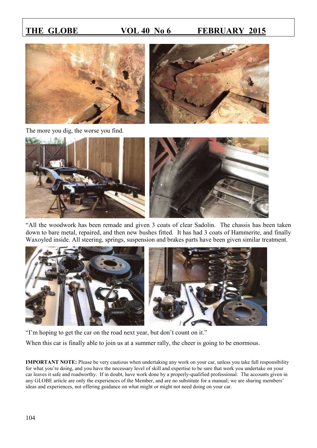



The more you dig, the worse you find.



"All the woodwork has been remade and given 3 coats of clear Sadolin. The chassis has been taken down to bare metal, repaired, and then new bushes fitted. It has had 3 coats of Hammerite, and finally Waxoyled inside. All steering, springs, suspension and brakes parts have been given similar treatment.



"I'm hoping to get the car on the road next year, but don't count on it."

When this car is finally able to join us at a summer rally, the cheer is going to be enormous.

**IMPORTANT NOTE:** Please be very cautious when undertaking any work on your car, unless you take full responsibility for what you're doing, and you have the necessary level of skill and expertise to be sure that work you undertake on your car leaves it safe and roadworthy. If in doubt, have work done by a properly-qualified professional. The accounts given in any GLOBE article are only the experiences of the Member, and are no substitute for a manual; we are sharing members' ideas and experiences, not offering guidance on what might or might not need doing on your car.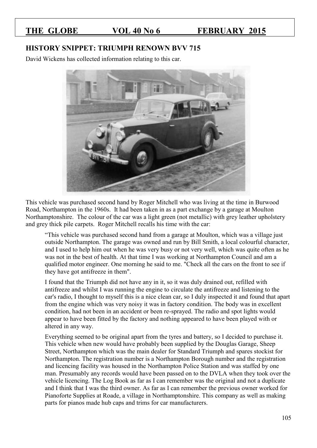### **HISTORY SNIPPET: TRIUMPH RENOWN BVV 715**

David Wickens has collected information relating to this car.



This vehicle was purchased second hand by Roger Mitchell who was living at the time in Burwood Road, Northampton in the 1960s. It had been taken in as a part exchange by a garage at Moulton Northamptonshire. The colour of the car was a light green (not metallic) with grey leather upholstery and grey thick pile carpets. Roger Mitchell recalls his time with the car:

"This vehicle was purchased second hand from a garage at Moulton, which was a village just outside Northampton. The garage was owned and run by Bill Smith, a local colourful character, and I used to help him out when he was very busy or not very well, which was quite often as he was not in the best of health. At that time I was working at Northampton Council and am a qualified motor engineer. One morning he said to me. "Check all the cars on the front to see if they have got antifreeze in them".

I found that the Triumph did not have any in it, so it was duly drained out, refilled with antifreeze and whilst I was running the engine to circulate the antifreeze and listening to the car's radio, I thought to myself this is a nice clean car, so I duly inspected it and found that apart from the engine which was very noisy it was in factory condition. The body was in excellent condition, had not been in an accident or been re-sprayed. The radio and spot lights would appear to have been fitted by the factory and nothing appeared to have been played with or altered in any way.

Everything seemed to be original apart from the tyres and battery, so I decided to purchase it. This vehicle when new would have probably been supplied by the Douglas Garage, Sheep Street, Northampton which was the main dealer for Standard Triumph and spares stockist for Northampton. The registration number is a Northampton Borough number and the registration and licencing facility was housed in the Northampton Police Station and was staffed by one man. Presumably any records would have been passed on to the DVLA when they took over the vehicle licencing. The Log Book as far as I can remember was the original and not a duplicate and I think that I was the third owner. As far as I can remember the previous owner worked for Pianoforte Supplies at Roade, a village in Northamptonshire. This company as well as making parts for pianos made hub caps and trims for car manufacturers.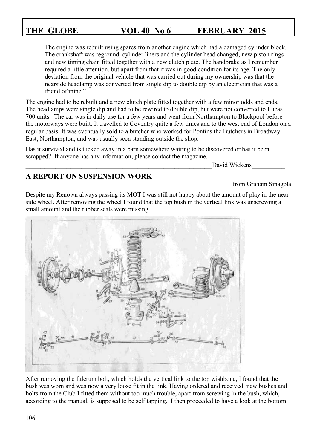The engine was rebuilt using spares from another engine which had a damaged cylinder block. The crankshaft was reground, cylinder liners and the cylinder head changed, new piston rings and new timing chain fitted together with a new clutch plate. The handbrake as I remember required a little attention, but apart from that it was in good condition for its age. The only deviation from the original vehicle that was carried out during my ownership was that the nearside headlamp was converted from single dip to double dip by an electrician that was a friend of mine."

The engine had to be rebuilt and a new clutch plate fitted together with a few minor odds and ends. The headlamps were single dip and had to be rewired to double dip, but were not converted to Lucas 700 units. The car was in daily use for a few years and went from Northampton to Blackpool before the motorways were built. It travelled to Coventry quite a few times and to the west end of London on a regular basis. It was eventually sold to a butcher who worked for Pontins the Butchers in Broadway East, Northampton, and was usually seen standing outside the shop.

Has it survived and is tucked away in a barn somewhere waiting to be discovered or has it been scrapped? If anyone has any information, please contact the magazine.

**\_\_\_\_\_\_\_\_\_\_\_\_\_\_\_\_\_\_\_\_\_\_\_\_\_\_\_\_\_\_\_\_\_\_\_\_\_\_\_\_\_\_\_\_\_\_\_\_\_\_**David Wickens**\_\_\_\_\_\_\_\_\_** 

# **A REPORT ON SUSPENSION WORK**

from Graham Sinagola

Despite my Renown always passing its MOT I was still not happy about the amount of play in the nearside wheel. After removing the wheel I found that the top bush in the vertical link was unscrewing a small amount and the rubber seals were missing.



After removing the fulcrum bolt, which holds the vertical link to the top wishbone, I found that the bush was worn and was now a very loose fit in the link. Having ordered and received new bushes and bolts from the Club I fitted them without too much trouble, apart from screwing in the bush, which, according to the manual, is supposed to be self tapping. I then proceeded to have a look at the bottom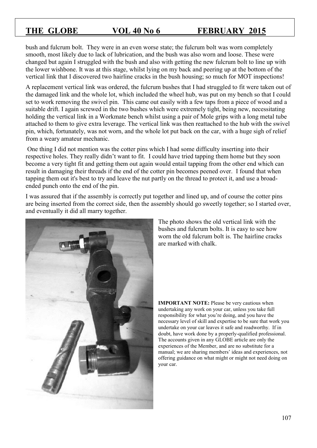bush and fulcrum bolt. They were in an even worse state; the fulcrum bolt was worn completely smooth, most likely due to lack of lubrication, and the bush was also worn and loose. These were changed but again I struggled with the bush and also with getting the new fulcrum bolt to line up with the lower wishbone. It was at this stage, whilst lying on my back and peering up at the bottom of the vertical link that I discovered two hairline cracks in the bush housing; so much for MOT inspections!

A replacement vertical link was ordered, the fulcrum bushes that I had struggled to fit were taken out of the damaged link and the whole lot, which included the wheel hub, was put on my bench so that I could set to work removing the swivel pin. This came out easily with a few taps from a piece of wood and a suitable drift. I again screwed in the two bushes which were extremely tight, being new, necessitating holding the vertical link in a Workmate bench whilst using a pair of Mole grips with a long metal tube attached to them to give extra leverage. The vertical link was then reattached to the hub with the swivel pin, which, fortunately, was not worn, and the whole lot put back on the car, with a huge sigh of relief from a weary amateur mechanic.

One thing I did not mention was the cotter pins which I had some difficulty inserting into their respective holes. They really didn't want to fit. I could have tried tapping them home but they soon become a very tight fit and getting them out again would entail tapping from the other end which can result in damaging their threads if the end of the cotter pin becomes peened over. I found that when tapping them out it's best to try and leave the nut partly on the thread to protect it, and use a broadended punch onto the end of the pin.

I was assured that if the assembly is correctly put together and lined up, and of course the cotter pins are being inserted from the correct side, then the assembly should go sweetly together; so I started over, and eventually it did all marry together.



The photo shows the old vertical link with the bushes and fulcrum bolts. It is easy to see how worn the old fulcrum bolt is. The hairline cracks are marked with chalk.

**IMPORTANT NOTE:** Please be very cautious when undertaking any work on your car, unless you take full responsibility for what you're doing, and you have the necessary level of skill and expertise to be sure that work you undertake on your car leaves it safe and roadworthy. If in doubt, have work done by a properly-qualified professional. The accounts given in any GLOBE article are only the experiences of the Member, and are no substitute for a manual; we are sharing members' ideas and experiences, not offering guidance on what might or might not need doing on your car.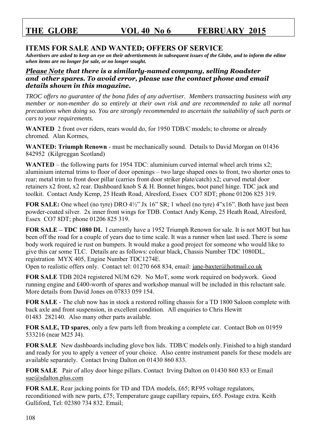# **ITEMS FOR SALE AND WANTED; OFFERS OF SERVICE**

*Advertisers are asked to keep an eye on their advertisements in subsequent issues of the Globe, and to inform the editor when items are no longer for sale, or no longer sought.* 

### *Please Note that there is a similarly-named company, selling Roadster and other spares. To avoid error, please use the contact phone and email details shown in this magazine.*

*TROC offers no guarantee of the bona fides of any advertiser. Members transacting business with any member or non-member do so entirely at their own risk and are recommended to take all normal precautions when doing so. You are strongly recommended to ascertain the suitability of such parts or cars to your requirements.* 

WANTED 2 front over riders, rears would do, for 1950 TDB/C models; to chrome or already chromed. Alan Kormes,

**WANTED: Triumph Renown** - must be mechanically sound. Details to David Morgan on 01436 842952 (Kilgreggan Scotland)

**WANTED** – the following parts for 1954 TDC: aluminium curved internal wheel arch trims x2; aluminium internal trims to floor of door openings – two large shaped ones to front, two shorter ones to rear; metal trim to front door pillar (carries front door striker plate/catch) x2; curved metal door retainers x2 front, x2 rear. Dashboard knob S & H. Bonnet hinges, boot panel hinge. TDC jack and toolkit. Contact Andy Kemp, 25 Heath Road, Alresford, Essex CO7 8DT; phone 01206 825 319.

**FOR SALE:** One wheel (no tyre) DRO 4½" Jx 16" SR; 1 wheel (no tyre) 4"x16". Both have just been powder-coated silver. 2x inner front wings for TDB. Contact Andy Kemp, 25 Heath Road, Alresford, Essex CO7 8DT; phone 01206 825 319.

**FOR SALE – TDC 1080 DL** I currently have a 1952 Triumph Renown for sale. It is not MOT but has been off the road for a couple of years due to time scale. It was a runner when last used. There is some body work required ie rust on bumpers. It would make a good project for someone who would like to give this car some TLC. Details are as follows: colour black, Chassis Number TDC 1080DL, registration MYX 405, Engine Number TDC1274E.

Open to realistic offers only. Contact tel: 01270 668 834, email: [jane-baxter@hotmail.co.uk](mailto:jane-baxter@hotmail.co.uk)

**FOR SALE** TDB 2024 registered NUM 629. No MoT, some work required on bodywork. Good running engine and £400-worth of spares and workshop manual will be included in this reluctant sale. More details from David Jones on 07833 059 154.

**FOR SALE** - The club now has in stock a restored rolling chassis for a TD 1800 Saloon complete with back axle and front suspension, in excellent condition. All enquiries to Chris Hewitt 01483 282140. Also many other parts available.

**FOR SALE, TD spares**, only a few parts left from breaking a complete car. Contact Bob on 01959 533216 (near M25 J4).

**FOR SALE** New dashboards including glove box lids. TDB/C models only. Finished to a high standard and ready for you to apply a veneer of your choice. Also centre instrument panels for these models are available separately. Contact Irving Dalton on 01430 860 833.

**FOR SALE** Pair of alloy door hinge pillars. Contact Irving Dalton on 01430 860 833 or Email [sue@sdalton.plus.com](mailto:sue@sdalton.plus.com)

**FOR SALE**, Rear jacking points for TD and TDA models, £65; RF95 voltage regulators, reconditioned with new parts, £75; Temperature gauge capillary repairs, £65. Postage extra. Keith Gulliford, Tel: 02380 734 832. Email;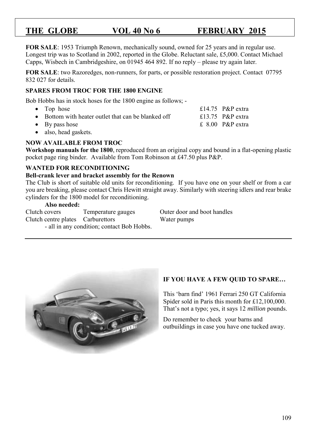**FOR SALE**: 1953 Triumph Renown, mechanically sound, owned for 25 years and in regular use. Longest trip was to Scotland in 2002, reported in the Globe. Reluctant sale, £5,000. Contact Michael Capps, Wisbech in Cambridgeshire, on 01945 464 892. If no reply – please try again later.

**FOR SALE**: two Razoredges, non-runners, for parts, or possible restoration project. Contact 07795 832 027 for details.

### **SPARES FROM TROC FOR THE 1800 ENGINE**

Bob Hobbs has in stock hoses for the 1800 engine as follows; -

- Top hose  $\epsilon$  Top hose  $\epsilon$  Top hose  $\epsilon$  Top hose  $\epsilon$  Top hose  $\epsilon$  Top hose  $\epsilon$  Top hose
- Bottom with heater outlet that can be blanked off  $\qquad 13.75$  P&P extra
- $\bullet$  By pass hose  $\bullet$  By pass hose  $\bullet$  By pass hose
- also, head gaskets.

### **NOW AVAILABLE FROM TROC**

**Workshop manuals for the 1800**, reproduced from an original copy and bound in a flat-opening plastic pocket page ring binder. Available from Tom Robinson at £47.50 plus P&P.

### **WANTED FOR RECONDITIONING**

### **Bell-crank lever and bracket assembly for the Renown**

The Club is short of suitable old units for reconditioning. If you have one on your shelf or from a car you are breaking, please contact Chris Hewitt straight away. Similarly with steering idlers and rear brake cylinders for the 1800 model for reconditioning.

### **Also needed:**

Clutch covers Temperature gauges Outer door and boot handles Clutch centre plates Carburettors Water pumps - all in any condition; contact Bob Hobbs.



### **IF YOU HAVE A FEW QUID TO SPARE…**

This 'barn find' 1961 Ferrari 250 GT California Spider sold in Paris this month for £12,100,000. That's not a typo; yes, it says 12 *million* pounds.

Do remember to check your barns and outbuildings in case you have one tucked away.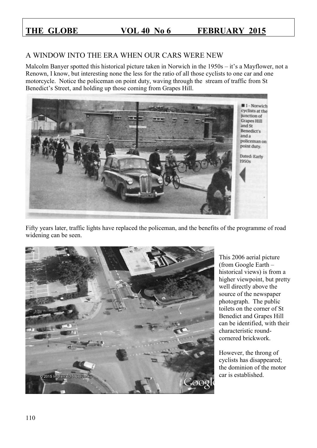# A WINDOW INTO THE ERA WHEN OUR CARS WERE NEW

Malcolm Banyer spotted this historical picture taken in Norwich in the 1950s – it's a Mayflower, not a Renown, I know, but interesting none the less for the ratio of all those cyclists to one car and one motorcycle. Notice the policeman on point duty, waving through the stream of traffic from St Benedict's Street, and holding up those coming from Grapes Hill.



Fifty years later, traffic lights have replaced the policeman, and the benefits of the programme of road widening can be seen.



This 2006 aerial picture (from Google Earth – historical views) is from a higher viewpoint, but pretty well directly above the source of the newspaper photograph. The public toilets on the corner of St Benedict and Grapes Hill can be identified, with their characteristic roundcornered brickwork.

However, the throng of cyclists has disappeared; the dominion of the motor car is established.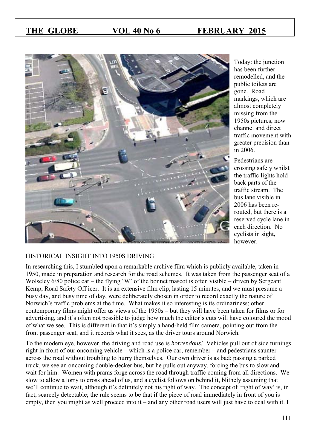

Today: the junction has been further remodelled, and the public toilets are gone. Road markings, which are almost completely missing from the 1950s pictures, now channel and direct traffic movement with greater precision than in 2006.

Pedestrians are crossing safely whilst the traffic lights hold back parts of the traffic stream. The bus lane visible in 2006 has been rerouted, but there is a reserved cycle lane in each direction. No cyclists in sight, however.

### HISTORICAL INSIGHT INTO 1950S DRIVING

In researching this, I stumbled upon a remarkable archive film which is publicly available, taken in 1950, made in preparation and research for the road schemes. It was taken from the passenger seat of a Wolseley 6/80 police car – the flying 'W' of the bonnet mascot is often visible – driven by Sergeant Kemp, Road Safety Off icer. It is an extensive film clip, lasting 15 minutes, and we must presume a busy day, and busy time of day, were deliberately chosen in order to record exactly the nature of Norwich's traffic problems at the time. What makes it so interesting is its ordinariness; other contemporary films might offer us views of the 1950s – but they will have been taken for films or for advertising, and it's often not possible to judge how much the editor's cuts will have coloured the mood of what we see. This is different in that it's simply a hand-held film camera, pointing out from the front passenger seat, and it records what it sees, as the driver tours around Norwich.

To the modern eye, however, the driving and road use is *horrendous!* Vehicles pull out of side turnings right in front of our oncoming vehicle – which is a police car, remember – and pedestrians saunter across the road without troubling to hurry themselves. Our own driver is as bad: passing a parked truck, we see an oncoming double-decker bus, but he pulls out anyway, forcing the bus to slow and wait for him. Women with prams forge across the road through traffic coming from all directions. We slow to allow a lorry to cross ahead of us, and a cyclist follows on behind it, blithely assuming that we'll continue to wait, although it's definitely not his right of way. The concept of 'right of way' is, in fact, scarcely detectable; the rule seems to be that if the piece of road immediately in front of you is empty, then you might as well proceed into it – and any other road users will just have to deal with it. I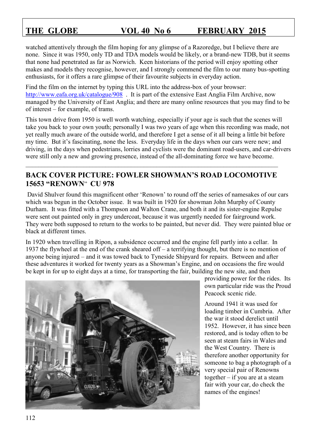watched attentively through the film hoping for any glimpse of a Razoredge, but I believe there are none. Since it was 1950, only TD and TDA models would be likely, or a brand-new TDB, but it seems that none had penetrated as far as Norwich. Keen historians of the period will enjoy spotting other makes and models they recognise, however, and I strongly commend the film to our many bus-spotting enthusiasts, for it offers a rare glimpse of their favourite subjects in everyday action.

Find the film on the internet by typing this URL into the address-box of your browser: <http://www.eafa.org.uk/catalogue/908>. It is part of the extensive East Anglia Film Archive, now managed by the University of East Anglia; and there are many online resources that you may find to be of interest – for example, of trams.

This town drive from 1950 is well worth watching, especially if your age is such that the scenes will take you back to your own youth; personally I was two years of age when this recording was made, not yet really much aware of the outside world, and therefore I get a sense of it all being a little bit before my time. But it's fascinating, none the less. Everyday life in the days when our cars were new; and driving, in the days when pedestrians, lorries and cyclists were the dominant road-users, and car-drivers were still only a new and growing presence, instead of the all-dominating force we have become.

# **BACK COVER PICTURE: FOWLER SHOWMAN'S ROAD LOCOMOTIVE 15653 "RENOWN**" **CU 978**

 $\_$  , and the set of the set of the set of the set of the set of the set of the set of the set of the set of the set of the set of the set of the set of the set of the set of the set of the set of the set of the set of th

David Shulver found this magnificent other 'Renown' to round off the series of namesakes of our cars which was begun in the October issue. It was built in 1920 for showman John Murphy of County Durham. It was fitted with a Thompson and Walton Crane, and both it and its sister-engine Repulse were sent out painted only in grey undercoat, because it was urgently needed for fairground work. They were both supposed to return to the works to be painted, but never did. They were painted blue or black at different times.

In 1920 when travelling in Ripon, a subsidence occurred and the engine fell partly into a cellar. In 1937 the flywheel at the end of the crank sheared off – a terrifying thought, but there is no mention of anyone being injured – and it was towed back to Tyneside Shipyard for repairs. Between and after these adventures it worked for twenty years as a Showman's Engine, and on occasions the fire would be kept in for up to eight days at a time, for transporting the fair, building the new site, and then



providing power for the rides. Its own particular ride was the Proud Peacock scenic ride.

Around 1941 it was used for loading timber in Cumbria. After the war it stood derelict until 1952. However, it has since been restored, and is today often to be seen at steam fairs in Wales and the West Country. There is therefore another opportunity for someone to bag a photograph of a very special pair of Renowns together – if you are at a steam fair with your car, do check the names of the engines!